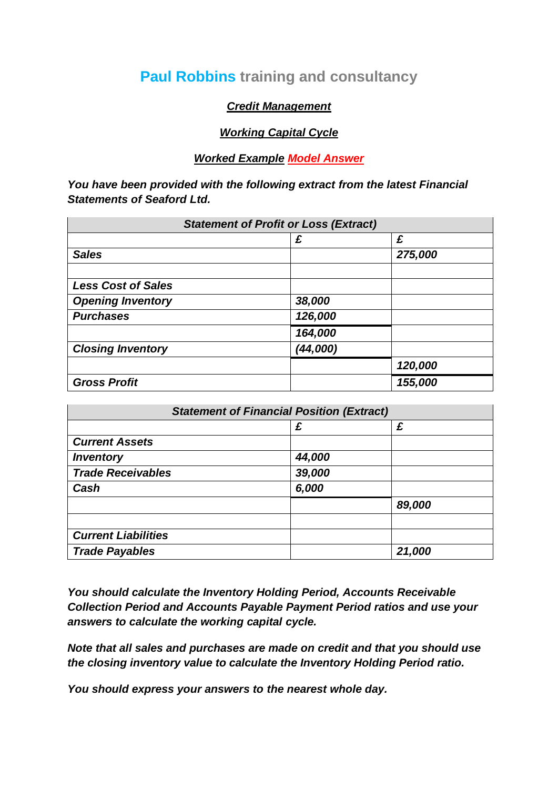# **Paul Robbins training and consultancy**

## *Credit Management*

# *Working Capital Cycle*

## *Worked Example Model Answer*

*You have been provided with the following extract from the latest Financial Statements of Seaford Ltd.*

| <b>Statement of Profit or Loss (Extract)</b> |          |         |
|----------------------------------------------|----------|---------|
|                                              | £        | £       |
| <b>Sales</b>                                 |          | 275,000 |
| <b>Less Cost of Sales</b>                    |          |         |
| <b>Opening Inventory</b>                     | 38,000   |         |
| <b>Purchases</b>                             | 126,000  |         |
|                                              | 164,000  |         |
| <b>Closing Inventory</b>                     | (44,000) |         |
|                                              |          | 120,000 |
| <b>Gross Profit</b>                          |          | 155,000 |

| <b>Statement of Financial Position (Extract)</b> |        |        |  |
|--------------------------------------------------|--------|--------|--|
|                                                  | £      | £      |  |
| <b>Current Assets</b>                            |        |        |  |
| <i><b>Inventory</b></i>                          | 44,000 |        |  |
| <b>Trade Receivables</b>                         | 39,000 |        |  |
| Cash                                             | 6,000  |        |  |
|                                                  |        | 89,000 |  |
|                                                  |        |        |  |
| <b>Current Liabilities</b>                       |        |        |  |
| <b>Trade Payables</b>                            |        | 21,000 |  |

*You should calculate the Inventory Holding Period, Accounts Receivable Collection Period and Accounts Payable Payment Period ratios and use your answers to calculate the working capital cycle.*

*Note that all sales and purchases are made on credit and that you should use the closing inventory value to calculate the Inventory Holding Period ratio.*

*You should express your answers to the nearest whole day.*